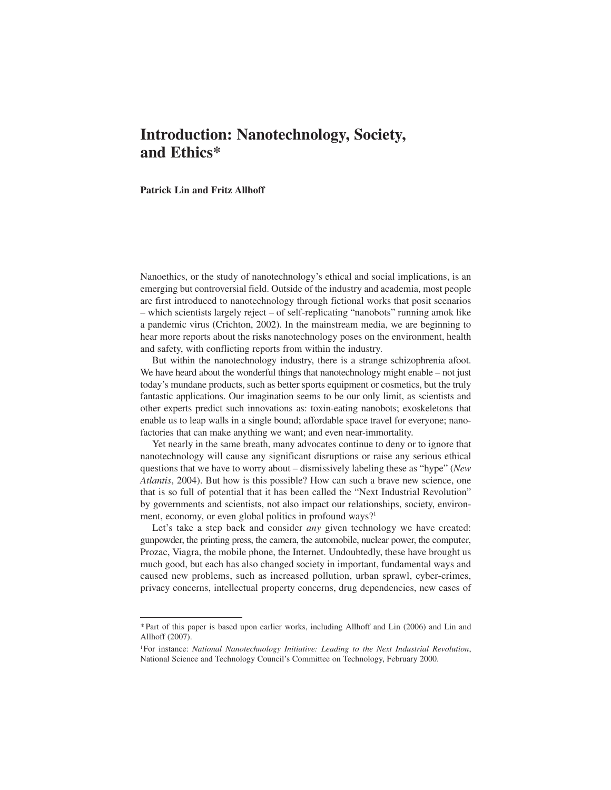# **Introduction: Nanotechnology, Society, and Ethics\***

**Patrick Lin and Fritz Allhoff**

Nanoethics, or the study of nanotechnology's ethical and social implications, is an emerging but controversial field. Outside of the industry and academia, most people are first introduced to nanotechnology through fictional works that posit scenarios – which scientists largely reject – of self-replicating "nanobots" running amok like a pandemic virus (Crichton, 2002). In the mainstream media, we are beginning to hear more reports about the risks nanotechnology poses on the environment, health and safety, with conflicting reports from within the industry.

But within the nanotechnology industry, there is a strange schizophrenia afoot. We have heard about the wonderful things that nanotechnology might enable – not just today's mundane products, such as better sports equipment or cosmetics, but the truly fantastic applications. Our imagination seems to be our only limit, as scientists and other experts predict such innovations as: toxin-eating nanobots; exoskeletons that enable us to leap walls in a single bound; affordable space travel for everyone; nanofactories that can make anything we want; and even near-immortality.

Yet nearly in the same breath, many advocates continue to deny or to ignore that nanotechnology will cause any significant disruptions or raise any serious ethical questions that we have to worry about – dismissively labeling these as "hype" (*New Atlantis*, 2004). But how is this possible? How can such a brave new science, one that is so full of potential that it has been called the "Next Industrial Revolution" by governments and scientists, not also impact our relationships, society, environment, economy, or even global politics in profound ways?<sup>1</sup>

Let's take a step back and consider *any* given technology we have created: gunpowder, the printing press, the camera, the automobile, nuclear power, the computer, Prozac, Viagra, the mobile phone, the Internet. Undoubtedly, these have brought us much good, but each has also changed society in important, fundamental ways and caused new problems, such as increased pollution, urban sprawl, cyber-crimes, privacy concerns, intellectual property concerns, drug dependencies, new cases of

<sup>\*</sup> Part of this paper is based upon earlier works, including Allhoff and Lin (2006) and Lin and Allhoff (2007).

<sup>1</sup>For instance: *National Nanotechnology Initiative: Leading to the Next Industrial Revolution*, National Science and Technology Council's Committee on Technology, February 2000.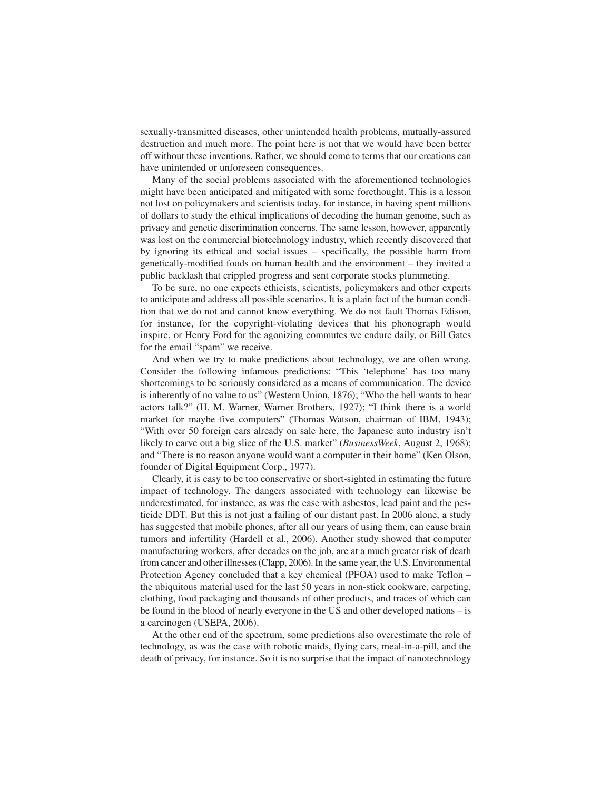sexually-transmitted diseases, other unintended health problems, mutually-assured destruction and much more. The point here is not that we would have been better off without these inventions. Rather, we should come to terms that our creations can have unintended or unforeseen consequences.

Many of the social problems associated with the aforementioned technologies might have been anticipated and mitigated with some forethought. This is a lesson not lost on policymakers and scientists today, for instance, in having spent millions of dollars to study the ethical implications of decoding the human genome, such as privacy and genetic discrimination concerns. The same lesson, however, apparently was lost on the commercial biotechnology industry, which recently discovered that by ignoring its ethical and social issues – specifically, the possible harm from genetically-modified foods on human health and the environment – they invited a public backlash that crippled progress and sent corporate stocks plummeting.

To be sure, no one expects ethicists, scientists, policymakers and other experts to anticipate and address all possible scenarios. It is a plain fact of the human condition that we do not and cannot know everything. We do not fault Thomas Edison, for instance, for the copyright-violating devices that his phonograph would inspire, or Henry Ford for the agonizing commutes we endure daily, or Bill Gates for the email "spam" we receive.

And when we try to make predictions about technology, we are often wrong. Consider the following infamous predictions: "This 'telephone' has too many shortcomings to be seriously considered as a means of communication. The device is inherently of no value to us" (Western Union, 1876); "Who the hell wants to hear actors talk?" (H. M. Warner, Warner Brothers, 1927); "I think there is a world market for maybe five computers" (Thomas Watson, chairman of IBM, 1943); "With over 50 foreign cars already on sale here, the Japanese auto industry isn't likely to carve out a big slice of the U.S. market" (*BusinessWeek*, August 2, 1968); and "There is no reason anyone would want a computer in their home" (Ken Olson, founder of Digital Equipment Corp., 1977).

Clearly, it is easy to be too conservative or short-sighted in estimating the future impact of technology. The dangers associated with technology can likewise be underestimated, for instance, as was the case with asbestos, lead paint and the pesticide DDT. But this is not just a failing of our distant past. In 2006 alone, a study has suggested that mobile phones, after all our years of using them, can cause brain tumors and infertility (Hardell et al., 2006). Another study showed that computer manufacturing workers, after decades on the job, are at a much greater risk of death from cancer and other illnesses (Clapp, 2006). In the same year, the U.S. Environmental Protection Agency concluded that a key chemical (PFOA) used to make Teflon – the ubiquitous material used for the last 50 years in non-stick cookware, carpeting, clothing, food packaging and thousands of other products, and traces of which can be found in the blood of nearly everyone in the US and other developed nations – is a carcinogen (USEPA, 2006).

At the other end of the spectrum, some predictions also overestimate the role of technology, as was the case with robotic maids, flying cars, meal-in-a-pill, and the death of privacy, for instance. So it is no surprise that the impact of nanotechnology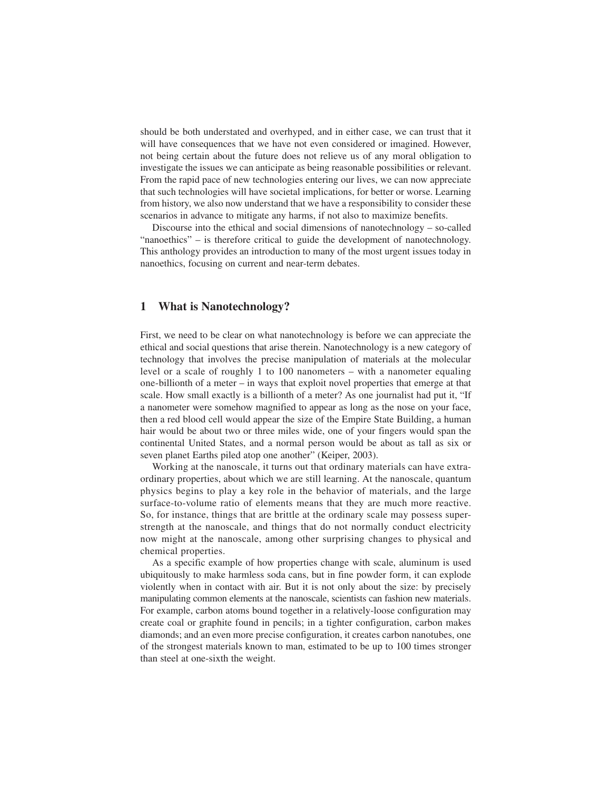should be both understated and overhyped, and in either case, we can trust that it will have consequences that we have not even considered or imagined. However, not being certain about the future does not relieve us of any moral obligation to investigate the issues we can anticipate as being reasonable possibilities or relevant. From the rapid pace of new technologies entering our lives, we can now appreciate that such technologies will have societal implications, for better or worse. Learning from history, we also now understand that we have a responsibility to consider these scenarios in advance to mitigate any harms, if not also to maximize benefits.

Discourse into the ethical and social dimensions of nanotechnology – so-called "nanoethics" – is therefore critical to guide the development of nanotechnology. This anthology provides an introduction to many of the most urgent issues today in nanoethics, focusing on current and near-term debates.

# **1 What is Nanotechnology?**

First, we need to be clear on what nanotechnology is before we can appreciate the ethical and social questions that arise therein. Nanotechnology is a new category of technology that involves the precise manipulation of materials at the molecular level or a scale of roughly 1 to 100 nanometers – with a nanometer equaling one-billionth of a meter – in ways that exploit novel properties that emerge at that scale. How small exactly is a billionth of a meter? As one journalist had put it, "If a nanometer were somehow magnified to appear as long as the nose on your face, then a red blood cell would appear the size of the Empire State Building, a human hair would be about two or three miles wide, one of your fingers would span the continental United States, and a normal person would be about as tall as six or seven planet Earths piled atop one another" (Keiper, 2003).

Working at the nanoscale, it turns out that ordinary materials can have extraordinary properties, about which we are still learning. At the nanoscale, quantum physics begins to play a key role in the behavior of materials, and the large surface-to-volume ratio of elements means that they are much more reactive. So, for instance, things that are brittle at the ordinary scale may possess superstrength at the nanoscale, and things that do not normally conduct electricity now might at the nanoscale, among other surprising changes to physical and chemical properties.

As a specific example of how properties change with scale, aluminum is used ubiquitously to make harmless soda cans, but in fine powder form, it can explode violently when in contact with air. But it is not only about the size: by precisely manipulating common elements at the nanoscale, scientists can fashion new materials. For example, carbon atoms bound together in a relatively-loose configuration may create coal or graphite found in pencils; in a tighter configuration, carbon makes diamonds; and an even more precise configuration, it creates carbon nanotubes, one of the strongest materials known to man, estimated to be up to 100 times stronger than steel at one-sixth the weight.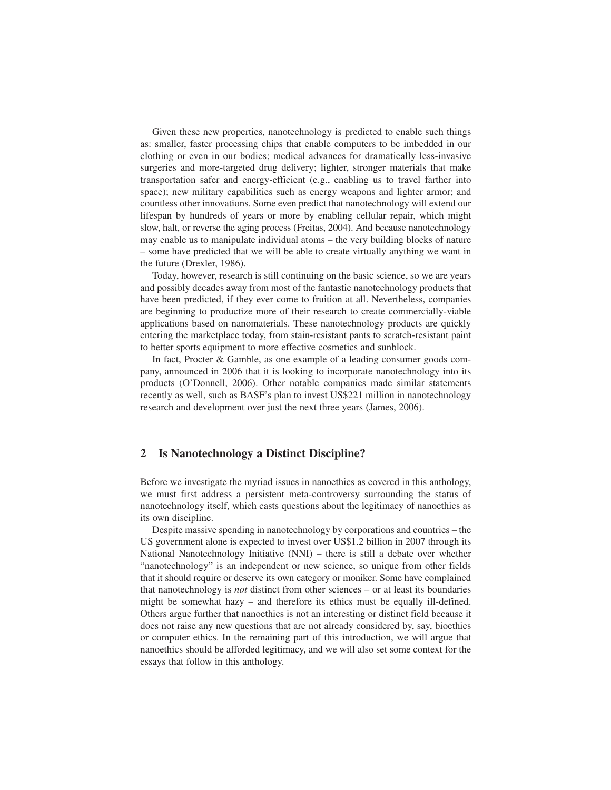Given these new properties, nanotechnology is predicted to enable such things as: smaller, faster processing chips that enable computers to be imbedded in our clothing or even in our bodies; medical advances for dramatically less-invasive surgeries and more-targeted drug delivery; lighter, stronger materials that make transportation safer and energy-efficient (e.g., enabling us to travel farther into space); new military capabilities such as energy weapons and lighter armor; and countless other innovations. Some even predict that nanotechnology will extend our lifespan by hundreds of years or more by enabling cellular repair, which might slow, halt, or reverse the aging process (Freitas, 2004). And because nanotechnology may enable us to manipulate individual atoms – the very building blocks of nature – some have predicted that we will be able to create virtually anything we want in the future (Drexler, 1986).

Today, however, research is still continuing on the basic science, so we are years and possibly decades away from most of the fantastic nanotechnology products that have been predicted, if they ever come to fruition at all. Nevertheless, companies are beginning to productize more of their research to create commercially-viable applications based on nanomaterials. These nanotechnology products are quickly entering the marketplace today, from stain-resistant pants to scratch-resistant paint to better sports equipment to more effective cosmetics and sunblock.

In fact, Procter & Gamble, as one example of a leading consumer goods company, announced in 2006 that it is looking to incorporate nanotechnology into its products (O'Donnell, 2006). Other notable companies made similar statements recently as well, such as BASF's plan to invest US\$221 million in nanotechnology research and development over just the next three years (James, 2006).

#### **2 Is Nanotechnology a Distinct Discipline?**

Before we investigate the myriad issues in nanoethics as covered in this anthology, we must first address a persistent meta-controversy surrounding the status of nanotechnology itself, which casts questions about the legitimacy of nanoethics as its own discipline.

Despite massive spending in nanotechnology by corporations and countries – the US government alone is expected to invest over US\$1.2 billion in 2007 through its National Nanotechnology Initiative (NNI) – there is still a debate over whether "nanotechnology" is an independent or new science, so unique from other fields that it should require or deserve its own category or moniker. Some have complained that nanotechnology is *not* distinct from other sciences – or at least its boundaries might be somewhat hazy – and therefore its ethics must be equally ill-defined. Others argue further that nanoethics is not an interesting or distinct field because it does not raise any new questions that are not already considered by, say, bioethics or computer ethics. In the remaining part of this introduction, we will argue that nanoethics should be afforded legitimacy, and we will also set some context for the essays that follow in this anthology.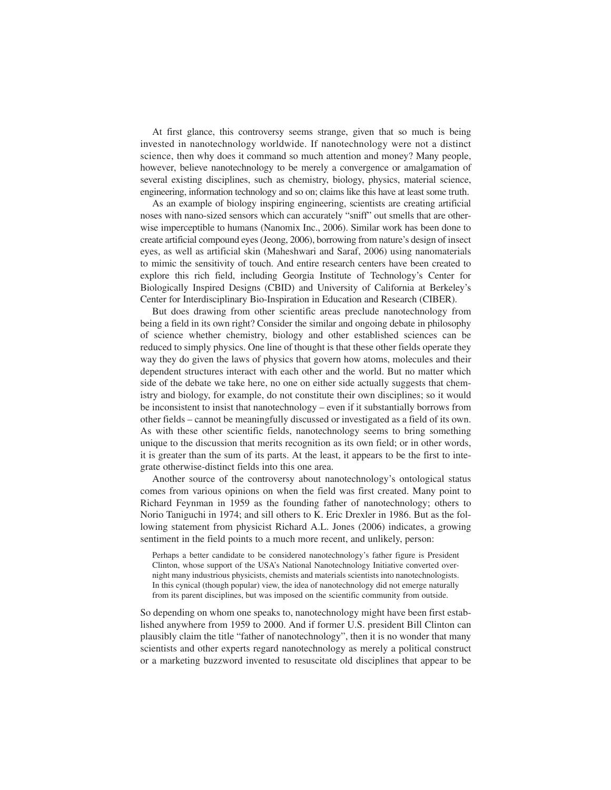At first glance, this controversy seems strange, given that so much is being invested in nanotechnology worldwide. If nanotechnology were not a distinct science, then why does it command so much attention and money? Many people, however, believe nanotechnology to be merely a convergence or amalgamation of several existing disciplines, such as chemistry, biology, physics, material science, engineering, information technology and so on; claims like this have at least some truth.

As an example of biology inspiring engineering, scientists are creating artificial noses with nano-sized sensors which can accurately "sniff" out smells that are otherwise imperceptible to humans (Nanomix Inc., 2006). Similar work has been done to create artificial compound eyes (Jeong, 2006), borrowing from nature's design of insect eyes, as well as artificial skin (Maheshwari and Saraf, 2006) using nanomaterials to mimic the sensitivity of touch. And entire research centers have been created to explore this rich field, including Georgia Institute of Technology's Center for Biologically Inspired Designs (CBID) and University of California at Berkeley's Center for Interdisciplinary Bio-Inspiration in Education and Research (CIBER).

But does drawing from other scientific areas preclude nanotechnology from being a field in its own right? Consider the similar and ongoing debate in philosophy of science whether chemistry, biology and other established sciences can be reduced to simply physics. One line of thought is that these other fields operate they way they do given the laws of physics that govern how atoms, molecules and their dependent structures interact with each other and the world. But no matter which side of the debate we take here, no one on either side actually suggests that chemistry and biology, for example, do not constitute their own disciplines; so it would be inconsistent to insist that nanotechnology – even if it substantially borrows from other fields – cannot be meaningfully discussed or investigated as a field of its own. As with these other scientific fields, nanotechnology seems to bring something unique to the discussion that merits recognition as its own field; or in other words, it is greater than the sum of its parts. At the least, it appears to be the first to integrate otherwise-distinct fields into this one area.

Another source of the controversy about nanotechnology's ontological status comes from various opinions on when the field was first created. Many point to Richard Feynman in 1959 as the founding father of nanotechnology; others to Norio Taniguchi in 1974; and sill others to K. Eric Drexler in 1986. But as the following statement from physicist Richard A.L. Jones (2006) indicates, a growing sentiment in the field points to a much more recent, and unlikely, person:

Perhaps a better candidate to be considered nanotechnology's father figure is President Clinton, whose support of the USA's National Nanotechnology Initiative converted overnight many industrious physicists, chemists and materials scientists into nanotechnologists. In this cynical (though popular) view, the idea of nanotechnology did not emerge naturally from its parent disciplines, but was imposed on the scientific community from outside.

So depending on whom one speaks to, nanotechnology might have been first established anywhere from 1959 to 2000. And if former U.S. president Bill Clinton can plausibly claim the title "father of nanotechnology", then it is no wonder that many scientists and other experts regard nanotechnology as merely a political construct or a marketing buzzword invented to resuscitate old disciplines that appear to be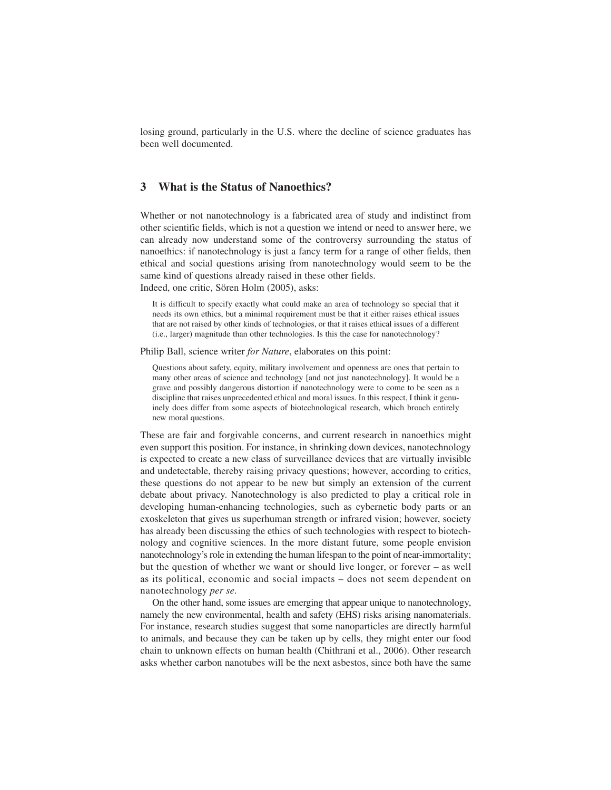losing ground, particularly in the U.S. where the decline of science graduates has been well documented.

# **3 What is the Status of Nanoethics?**

Whether or not nanotechnology is a fabricated area of study and indistinct from other scientific fields, which is not a question we intend or need to answer here, we can already now understand some of the controversy surrounding the status of nanoethics: if nanotechnology is just a fancy term for a range of other fields, then ethical and social questions arising from nanotechnology would seem to be the same kind of questions already raised in these other fields. Indeed, one critic, Sören Holm (2005), asks:

It is difficult to specify exactly what could make an area of technology so special that it needs its own ethics, but a minimal requirement must be that it either raises ethical issues that are not raised by other kinds of technologies, or that it raises ethical issues of a different (i.e., larger) magnitude than other technologies. Is this the case for nanotechnology?

Philip Ball, science writer *for Nature*, elaborates on this point:

Questions about safety, equity, military involvement and openness are ones that pertain to many other areas of science and technology [and not just nanotechnology]. It would be a grave and possibly dangerous distortion if nanotechnology were to come to be seen as a discipline that raises unprecedented ethical and moral issues. In this respect, I think it genuinely does differ from some aspects of biotechnological research, which broach entirely new moral questions.

These are fair and forgivable concerns, and current research in nanoethics might even support this position. For instance, in shrinking down devices, nanotechnology is expected to create a new class of surveillance devices that are virtually invisible and undetectable, thereby raising privacy questions; however, according to critics, these questions do not appear to be new but simply an extension of the current debate about privacy. Nanotechnology is also predicted to play a critical role in developing human-enhancing technologies, such as cybernetic body parts or an exoskeleton that gives us superhuman strength or infrared vision; however, society has already been discussing the ethics of such technologies with respect to biotechnology and cognitive sciences. In the more distant future, some people envision nanotechnology's role in extending the human lifespan to the point of near-immortality; but the question of whether we want or should live longer, or forever – as well as its political, economic and social impacts – does not seem dependent on nanotechnology *per se*.

On the other hand, some issues are emerging that appear unique to nanotechnology, namely the new environmental, health and safety (EHS) risks arising nanomaterials. For instance, research studies suggest that some nanoparticles are directly harmful to animals, and because they can be taken up by cells, they might enter our food chain to unknown effects on human health (Chithrani et al., 2006). Other research asks whether carbon nanotubes will be the next asbestos, since both have the same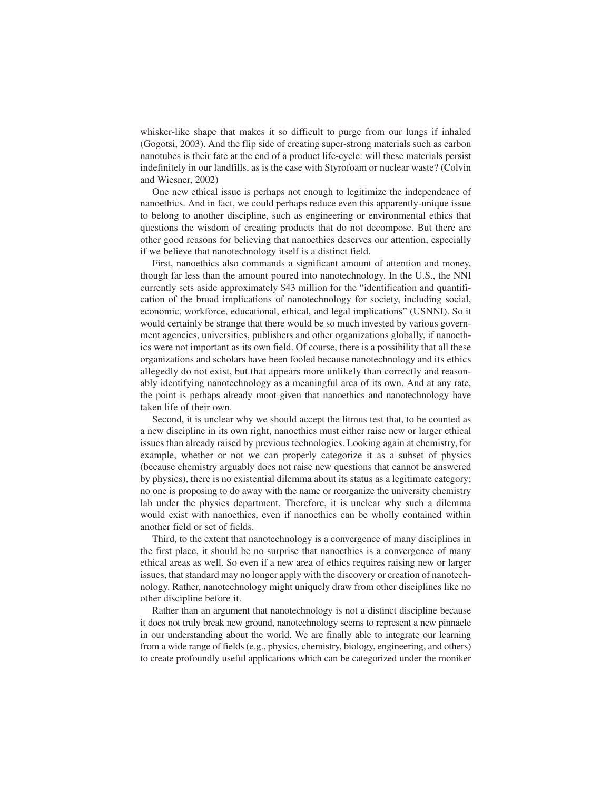whisker-like shape that makes it so difficult to purge from our lungs if inhaled (Gogotsi, 2003). And the flip side of creating super-strong materials such as carbon nanotubes is their fate at the end of a product life-cycle: will these materials persist indefinitely in our landfills, as is the case with Styrofoam or nuclear waste? (Colvin and Wiesner, 2002)

One new ethical issue is perhaps not enough to legitimize the independence of nanoethics. And in fact, we could perhaps reduce even this apparently-unique issue to belong to another discipline, such as engineering or environmental ethics that questions the wisdom of creating products that do not decompose. But there are other good reasons for believing that nanoethics deserves our attention, especially if we believe that nanotechnology itself is a distinct field.

First, nanoethics also commands a significant amount of attention and money, though far less than the amount poured into nanotechnology. In the U.S., the NNI currently sets aside approximately \$43 million for the "identification and quantification of the broad implications of nanotechnology for society, including social, economic, workforce, educational, ethical, and legal implications" (USNNI). So it would certainly be strange that there would be so much invested by various government agencies, universities, publishers and other organizations globally, if nanoethics were not important as its own field. Of course, there is a possibility that all these organizations and scholars have been fooled because nanotechnology and its ethics allegedly do not exist, but that appears more unlikely than correctly and reasonably identifying nanotechnology as a meaningful area of its own. And at any rate, the point is perhaps already moot given that nanoethics and nanotechnology have taken life of their own.

Second, it is unclear why we should accept the litmus test that, to be counted as a new discipline in its own right, nanoethics must either raise new or larger ethical issues than already raised by previous technologies. Looking again at chemistry, for example, whether or not we can properly categorize it as a subset of physics (because chemistry arguably does not raise new questions that cannot be answered by physics), there is no existential dilemma about its status as a legitimate category; no one is proposing to do away with the name or reorganize the university chemistry lab under the physics department. Therefore, it is unclear why such a dilemma would exist with nanoethics, even if nanoethics can be wholly contained within another field or set of fields.

Third, to the extent that nanotechnology is a convergence of many disciplines in the first place, it should be no surprise that nanoethics is a convergence of many ethical areas as well. So even if a new area of ethics requires raising new or larger issues, that standard may no longer apply with the discovery or creation of nanotechnology. Rather, nanotechnology might uniquely draw from other disciplines like no other discipline before it.

Rather than an argument that nanotechnology is not a distinct discipline because it does not truly break new ground, nanotechnology seems to represent a new pinnacle in our understanding about the world. We are finally able to integrate our learning from a wide range of fields (e.g., physics, chemistry, biology, engineering, and others) to create profoundly useful applications which can be categorized under the moniker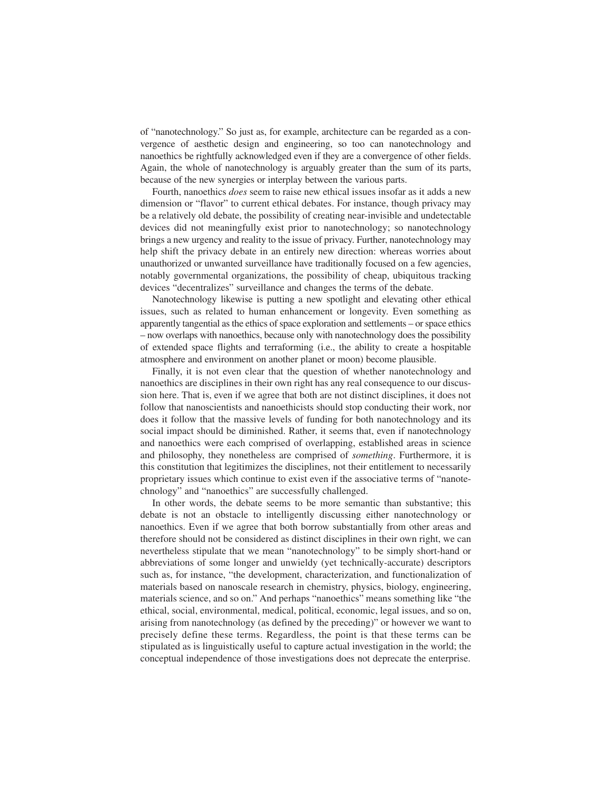of "nanotechnology." So just as, for example, architecture can be regarded as a convergence of aesthetic design and engineering, so too can nanotechnology and nanoethics be rightfully acknowledged even if they are a convergence of other fields. Again, the whole of nanotechnology is arguably greater than the sum of its parts, because of the new synergies or interplay between the various parts.

Fourth, nanoethics *does* seem to raise new ethical issues insofar as it adds a new dimension or "flavor" to current ethical debates. For instance, though privacy may be a relatively old debate, the possibility of creating near-invisible and undetectable devices did not meaningfully exist prior to nanotechnology; so nanotechnology brings a new urgency and reality to the issue of privacy. Further, nanotechnology may help shift the privacy debate in an entirely new direction: whereas worries about unauthorized or unwanted surveillance have traditionally focused on a few agencies, notably governmental organizations, the possibility of cheap, ubiquitous tracking devices "decentralizes" surveillance and changes the terms of the debate.

Nanotechnology likewise is putting a new spotlight and elevating other ethical issues, such as related to human enhancement or longevity. Even something as apparently tangential as the ethics of space exploration and settlements – or space ethics – now overlaps with nanoethics, because only with nanotechnology does the possibility of extended space flights and terraforming (i.e., the ability to create a hospitable atmosphere and environment on another planet or moon) become plausible.

Finally, it is not even clear that the question of whether nanotechnology and nanoethics are disciplines in their own right has any real consequence to our discussion here. That is, even if we agree that both are not distinct disciplines, it does not follow that nanoscientists and nanoethicists should stop conducting their work, nor does it follow that the massive levels of funding for both nanotechnology and its social impact should be diminished. Rather, it seems that, even if nanotechnology and nanoethics were each comprised of overlapping, established areas in science and philosophy, they nonetheless are comprised of *something*. Furthermore, it is this constitution that legitimizes the disciplines, not their entitlement to necessarily proprietary issues which continue to exist even if the associative terms of "nanotechnology" and "nanoethics" are successfully challenged.

In other words, the debate seems to be more semantic than substantive; this debate is not an obstacle to intelligently discussing either nanotechnology or nanoethics. Even if we agree that both borrow substantially from other areas and therefore should not be considered as distinct disciplines in their own right, we can nevertheless stipulate that we mean "nanotechnology" to be simply short-hand or abbreviations of some longer and unwieldy (yet technically-accurate) descriptors such as, for instance, "the development, characterization, and functionalization of materials based on nanoscale research in chemistry, physics, biology, engineering, materials science, and so on." And perhaps "nanoethics" means something like "the ethical, social, environmental, medical, political, economic, legal issues, and so on, arising from nanotechnology (as defined by the preceding)" or however we want to precisely define these terms. Regardless, the point is that these terms can be stipulated as is linguistically useful to capture actual investigation in the world; the conceptual independence of those investigations does not deprecate the enterprise.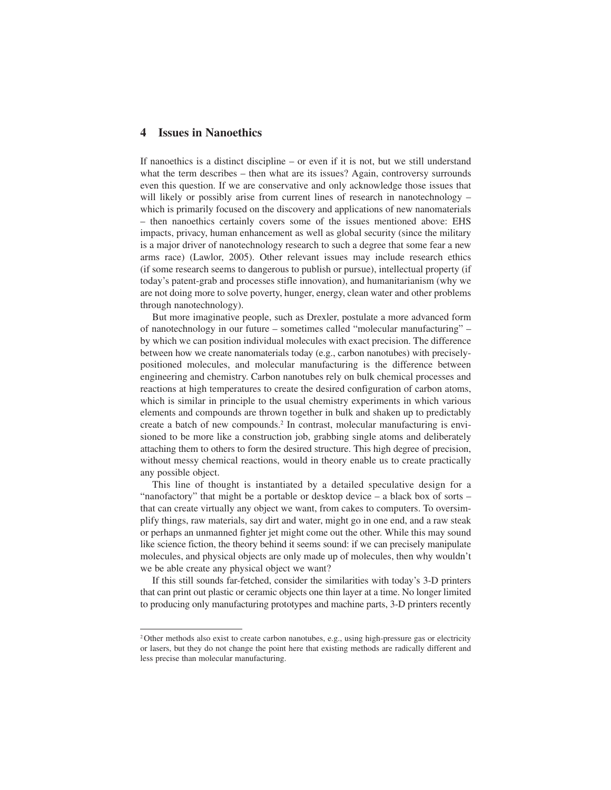# **4 Issues in Nanoethics**

If nanoethics is a distinct discipline – or even if it is not, but we still understand what the term describes – then what are its issues? Again, controversy surrounds even this question. If we are conservative and only acknowledge those issues that will likely or possibly arise from current lines of research in nanotechnology – which is primarily focused on the discovery and applications of new nanomaterials – then nanoethics certainly covers some of the issues mentioned above: EHS impacts, privacy, human enhancement as well as global security (since the military is a major driver of nanotechnology research to such a degree that some fear a new arms race) (Lawlor, 2005). Other relevant issues may include research ethics (if some research seems to dangerous to publish or pursue), intellectual property (if today's patent-grab and processes stifle innovation), and humanitarianism (why we are not doing more to solve poverty, hunger, energy, clean water and other problems through nanotechnology).

But more imaginative people, such as Drexler, postulate a more advanced form of nanotechnology in our future – sometimes called "molecular manufacturing" – by which we can position individual molecules with exact precision. The difference between how we create nanomaterials today (e.g., carbon nanotubes) with preciselypositioned molecules, and molecular manufacturing is the difference between engineering and chemistry. Carbon nanotubes rely on bulk chemical processes and reactions at high temperatures to create the desired configuration of carbon atoms, which is similar in principle to the usual chemistry experiments in which various elements and compounds are thrown together in bulk and shaken up to predictably create a batch of new compounds.<sup>2</sup> In contrast, molecular manufacturing is envisioned to be more like a construction job, grabbing single atoms and deliberately attaching them to others to form the desired structure. This high degree of precision, without messy chemical reactions, would in theory enable us to create practically any possible object.

This line of thought is instantiated by a detailed speculative design for a "nanofactory" that might be a portable or desktop device – a black box of sorts – that can create virtually any object we want, from cakes to computers. To oversimplify things, raw materials, say dirt and water, might go in one end, and a raw steak or perhaps an unmanned fighter jet might come out the other. While this may sound like science fiction, the theory behind it seems sound: if we can precisely manipulate molecules, and physical objects are only made up of molecules, then why wouldn't we be able create any physical object we want?

If this still sounds far-fetched, consider the similarities with today's 3-D printers that can print out plastic or ceramic objects one thin layer at a time. No longer limited to producing only manufacturing prototypes and machine parts, 3-D printers recently

<sup>&</sup>lt;sup>2</sup> Other methods also exist to create carbon nanotubes, e.g., using high-pressure gas or electricity or lasers, but they do not change the point here that existing methods are radically different and less precise than molecular manufacturing.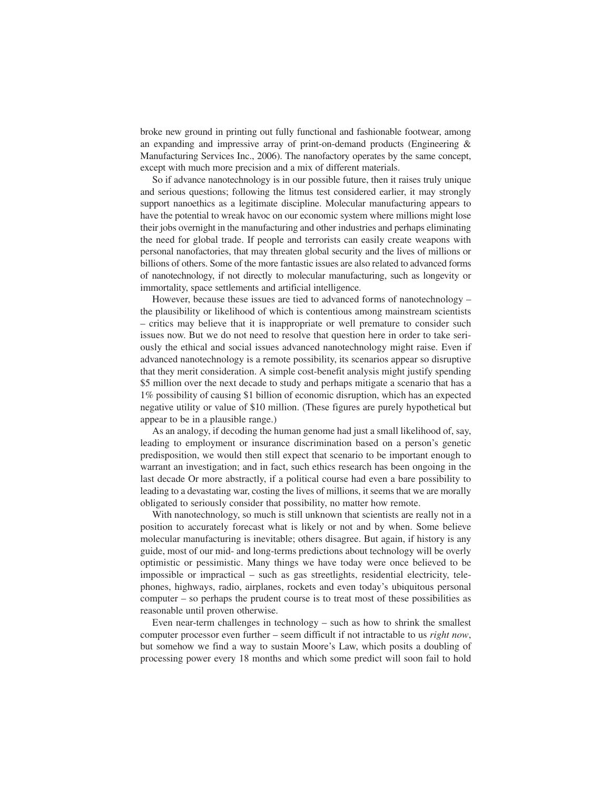broke new ground in printing out fully functional and fashionable footwear, among an expanding and impressive array of print-on-demand products (Engineering & Manufacturing Services Inc., 2006). The nanofactory operates by the same concept, except with much more precision and a mix of different materials.

So if advance nanotechnology is in our possible future, then it raises truly unique and serious questions; following the litmus test considered earlier, it may strongly support nanoethics as a legitimate discipline. Molecular manufacturing appears to have the potential to wreak havoc on our economic system where millions might lose their jobs overnight in the manufacturing and other industries and perhaps eliminating the need for global trade. If people and terrorists can easily create weapons with personal nanofactories, that may threaten global security and the lives of millions or billions of others. Some of the more fantastic issues are also related to advanced forms of nanotechnology, if not directly to molecular manufacturing, such as longevity or immortality, space settlements and artificial intelligence.

However, because these issues are tied to advanced forms of nanotechnology – the plausibility or likelihood of which is contentious among mainstream scientists – critics may believe that it is inappropriate or well premature to consider such issues now. But we do not need to resolve that question here in order to take seriously the ethical and social issues advanced nanotechnology might raise. Even if advanced nanotechnology is a remote possibility, its scenarios appear so disruptive that they merit consideration. A simple cost-benefit analysis might justify spending \$5 million over the next decade to study and perhaps mitigate a scenario that has a 1% possibility of causing \$1 billion of economic disruption, which has an expected negative utility or value of \$10 million. (These figures are purely hypothetical but appear to be in a plausible range.)

As an analogy, if decoding the human genome had just a small likelihood of, say, leading to employment or insurance discrimination based on a person's genetic predisposition, we would then still expect that scenario to be important enough to warrant an investigation; and in fact, such ethics research has been ongoing in the last decade Or more abstractly, if a political course had even a bare possibility to leading to a devastating war, costing the lives of millions, it seems that we are morally obligated to seriously consider that possibility, no matter how remote.

With nanotechnology, so much is still unknown that scientists are really not in a position to accurately forecast what is likely or not and by when. Some believe molecular manufacturing is inevitable; others disagree. But again, if history is any guide, most of our mid- and long-terms predictions about technology will be overly optimistic or pessimistic. Many things we have today were once believed to be impossible or impractical – such as gas streetlights, residential electricity, telephones, highways, radio, airplanes, rockets and even today's ubiquitous personal computer – so perhaps the prudent course is to treat most of these possibilities as reasonable until proven otherwise.

Even near-term challenges in technology – such as how to shrink the smallest computer processor even further – seem difficult if not intractable to us *right now*, but somehow we find a way to sustain Moore's Law, which posits a doubling of processing power every 18 months and which some predict will soon fail to hold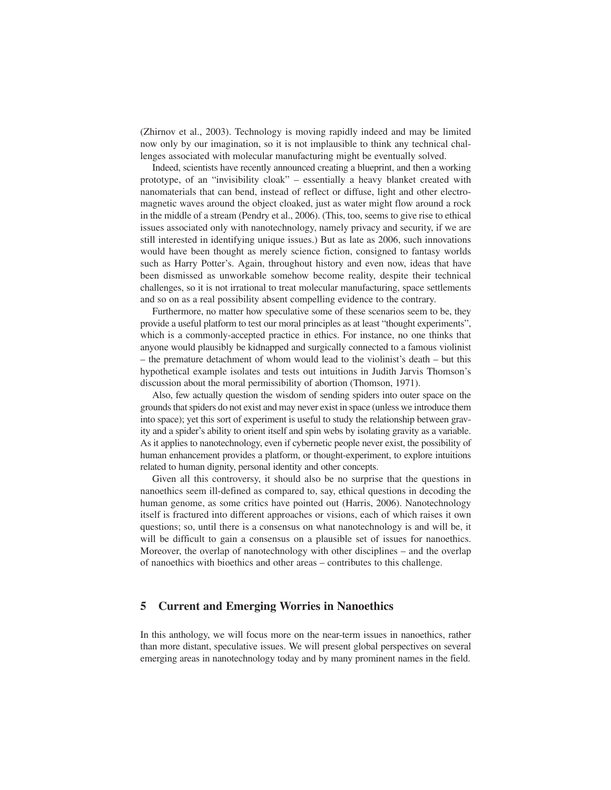(Zhirnov et al., 2003). Technology is moving rapidly indeed and may be limited now only by our imagination, so it is not implausible to think any technical challenges associated with molecular manufacturing might be eventually solved.

Indeed, scientists have recently announced creating a blueprint, and then a working prototype, of an "invisibility cloak" – essentially a heavy blanket created with nanomaterials that can bend, instead of reflect or diffuse, light and other electromagnetic waves around the object cloaked, just as water might flow around a rock in the middle of a stream (Pendry et al., 2006). (This, too, seems to give rise to ethical issues associated only with nanotechnology, namely privacy and security, if we are still interested in identifying unique issues.) But as late as 2006, such innovations would have been thought as merely science fiction, consigned to fantasy worlds such as Harry Potter's. Again, throughout history and even now, ideas that have been dismissed as unworkable somehow become reality, despite their technical challenges, so it is not irrational to treat molecular manufacturing, space settlements and so on as a real possibility absent compelling evidence to the contrary.

Furthermore, no matter how speculative some of these scenarios seem to be, they provide a useful platform to test our moral principles as at least "thought experiments", which is a commonly-accepted practice in ethics. For instance, no one thinks that anyone would plausibly be kidnapped and surgically connected to a famous violinist – the premature detachment of whom would lead to the violinist's death – but this hypothetical example isolates and tests out intuitions in Judith Jarvis Thomson's discussion about the moral permissibility of abortion (Thomson, 1971).

Also, few actually question the wisdom of sending spiders into outer space on the grounds that spiders do not exist and may never exist in space (unless we introduce them into space); yet this sort of experiment is useful to study the relationship between gravity and a spider's ability to orient itself and spin webs by isolating gravity as a variable. As it applies to nanotechnology, even if cybernetic people never exist, the possibility of human enhancement provides a platform, or thought-experiment, to explore intuitions related to human dignity, personal identity and other concepts.

Given all this controversy, it should also be no surprise that the questions in nanoethics seem ill-defined as compared to, say, ethical questions in decoding the human genome, as some critics have pointed out (Harris, 2006). Nanotechnology itself is fractured into different approaches or visions, each of which raises it own questions; so, until there is a consensus on what nanotechnology is and will be, it will be difficult to gain a consensus on a plausible set of issues for nanoethics. Moreover, the overlap of nanotechnology with other disciplines – and the overlap of nanoethics with bioethics and other areas – contributes to this challenge.

### **5 Current and Emerging Worries in Nanoethics**

In this anthology, we will focus more on the near-term issues in nanoethics, rather than more distant, speculative issues. We will present global perspectives on several emerging areas in nanotechnology today and by many prominent names in the field.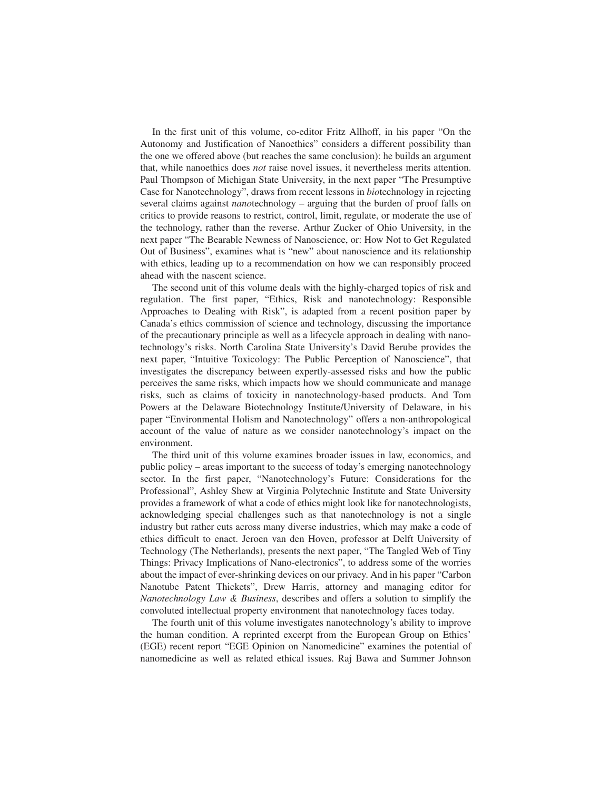In the first unit of this volume, co-editor Fritz Allhoff, in his paper "On the Autonomy and Justification of Nanoethics" considers a different possibility than the one we offered above (but reaches the same conclusion): he builds an argument that, while nanoethics does *not* raise novel issues, it nevertheless merits attention. Paul Thompson of Michigan State University, in the next paper "The Presumptive Case for Nanotechnology", draws from recent lessons in *bio*technology in rejecting several claims against *nano*technology – arguing that the burden of proof falls on critics to provide reasons to restrict, control, limit, regulate, or moderate the use of the technology, rather than the reverse. Arthur Zucker of Ohio University, in the next paper "The Bearable Newness of Nanoscience, or: How Not to Get Regulated Out of Business", examines what is "new" about nanoscience and its relationship with ethics, leading up to a recommendation on how we can responsibly proceed ahead with the nascent science.

The second unit of this volume deals with the highly-charged topics of risk and regulation. The first paper, "Ethics, Risk and nanotechnology: Responsible Approaches to Dealing with Risk", is adapted from a recent position paper by Canada's ethics commission of science and technology, discussing the importance of the precautionary principle as well as a lifecycle approach in dealing with nanotechnology's risks. North Carolina State University's David Berube provides the next paper, "Intuitive Toxicology: The Public Perception of Nanoscience", that investigates the discrepancy between expertly-assessed risks and how the public perceives the same risks, which impacts how we should communicate and manage risks, such as claims of toxicity in nanotechnology-based products. And Tom Powers at the Delaware Biotechnology Institute/University of Delaware, in his paper "Environmental Holism and Nanotechnology" offers a non-anthropological account of the value of nature as we consider nanotechnology's impact on the environment.

The third unit of this volume examines broader issues in law, economics, and public policy – areas important to the success of today's emerging nanotechnology sector. In the first paper, "Nanotechnology's Future: Considerations for the Professional", Ashley Shew at Virginia Polytechnic Institute and State University provides a framework of what a code of ethics might look like for nanotechnologists, acknowledging special challenges such as that nanotechnology is not a single industry but rather cuts across many diverse industries, which may make a code of ethics difficult to enact. Jeroen van den Hoven, professor at Delft University of Technology (The Netherlands), presents the next paper, "The Tangled Web of Tiny Things: Privacy Implications of Nano-electronics", to address some of the worries about the impact of ever-shrinking devices on our privacy. And in his paper "Carbon Nanotube Patent Thickets", Drew Harris, attorney and managing editor for *Nanotechnology Law & Business*, describes and offers a solution to simplify the convoluted intellectual property environment that nanotechnology faces today.

The fourth unit of this volume investigates nanotechnology's ability to improve the human condition. A reprinted excerpt from the European Group on Ethics' (EGE) recent report "EGE Opinion on Nanomedicine" examines the potential of nanomedicine as well as related ethical issues. Raj Bawa and Summer Johnson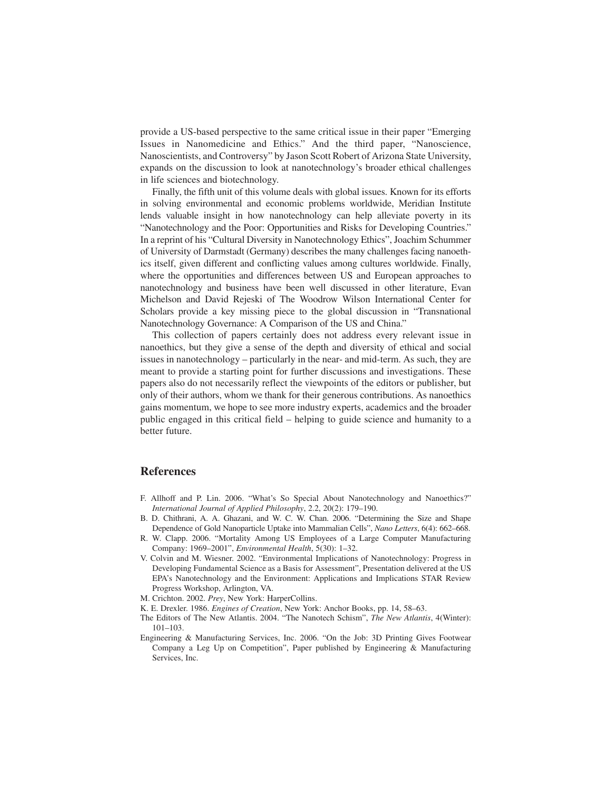provide a US-based perspective to the same critical issue in their paper "Emerging Issues in Nanomedicine and Ethics." And the third paper, "Nanoscience, Nanoscientists, and Controversy" by Jason Scott Robert of Arizona State University, expands on the discussion to look at nanotechnology's broader ethical challenges in life sciences and biotechnology.

Finally, the fifth unit of this volume deals with global issues. Known for its efforts in solving environmental and economic problems worldwide, Meridian Institute lends valuable insight in how nanotechnology can help alleviate poverty in its "Nanotechnology and the Poor: Opportunities and Risks for Developing Countries." In a reprint of his "Cultural Diversity in Nanotechnology Ethics", Joachim Schummer of University of Darmstadt (Germany) describes the many challenges facing nanoethics itself, given different and conflicting values among cultures worldwide. Finally, where the opportunities and differences between US and European approaches to nanotechnology and business have been well discussed in other literature, Evan Michelson and David Rejeski of The Woodrow Wilson International Center for Scholars provide a key missing piece to the global discussion in "Transnational Nanotechnology Governance: A Comparison of the US and China."

This collection of papers certainly does not address every relevant issue in nanoethics, but they give a sense of the depth and diversity of ethical and social issues in nanotechnology – particularly in the near- and mid-term. As such, they are meant to provide a starting point for further discussions and investigations. These papers also do not necessarily reflect the viewpoints of the editors or publisher, but only of their authors, whom we thank for their generous contributions. As nanoethics gains momentum, we hope to see more industry experts, academics and the broader public engaged in this critical field – helping to guide science and humanity to a better future.

### **References**

- F. Allhoff and P. Lin. 2006. "What's So Special About Nanotechnology and Nanoethics?" *International Journal of Applied Philosophy*, 2.2, 20(2): 179–190.
- B. D. Chithrani, A. A. Ghazani, and W. C. W. Chan. 2006. "Determining the Size and Shape Dependence of Gold Nanoparticle Uptake into Mammalian Cells", *Nano Letters*, 6(4): 662–668.
- R. W. Clapp. 2006. "Mortality Among US Employees of a Large Computer Manufacturing Company: 1969–2001", *Environmental Health*, 5(30): 1–32.
- V. Colvin and M. Wiesner. 2002. "Environmental Implications of Nanotechnology: Progress in Developing Fundamental Science as a Basis for Assessment", Presentation delivered at the US EPA's Nanotechnology and the Environment: Applications and Implications STAR Review Progress Workshop, Arlington, VA.
- M. Crichton. 2002. *Prey*, New York: HarperCollins.
- K. E. Drexler. 1986. *Engines of Creation*, New York: Anchor Books, pp. 14, 58–63.
- The Editors of The New Atlantis. 2004. "The Nanotech Schism", *The New Atlantis*, 4(Winter): 101–103.
- Engineering & Manufacturing Services, Inc. 2006. "On the Job: 3D Printing Gives Footwear Company a Leg Up on Competition", Paper published by Engineering & Manufacturing Services, Inc.